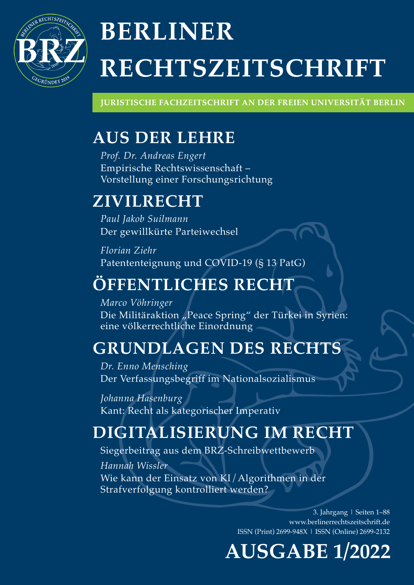

# **BERLINER** RECHTSZEITSCHRIFT

**JURISTISCHE FACHZEITSCHRIFT AN DER FREIEN UNIVERSITÄT BERLIN** 

## AUS DER LEHRE

Prof. Dr. Andreas Engert Empirische Rechtswissenschaft – Vorstellung einer Forschungsrichtung

### ZIVILRECHT

Paul Jakob Suilmann Der gewillkürte Parteiwechsel

Florian Ziehr Patententeignung und COVID-19 (§ 13 PatG)

## ÖFFENTLICHES RECHT

Marco Vöhringer

Die Militäraktion "Peace Spring" der Türkei in Syrien: eine völkerrechtliche Einordnung

## GRUNDLAGEN DES RECHTS

Dr. Enno Mensching Der Verfassungsbegriff im Nationalsozialismus

Johanna Hasenburg Kant: Recht als kategorischer Imperativ

## DIGITALISIERUNG IM RECHT

Hannah Wissler Wie kann der Einsatz von KI/Algorithmen in der Strafverfolgung kontrolliert werden? Siegerbeitrag aus dem BRZ-Schreibwettbewerb

> 3. Jahrgang | Seiten 1–88 www.berlinerrechtszeitschrift.de ISSN (Print) 2699-948X | ISSN (Online) 2699-2132

## AUSGABE 1/2022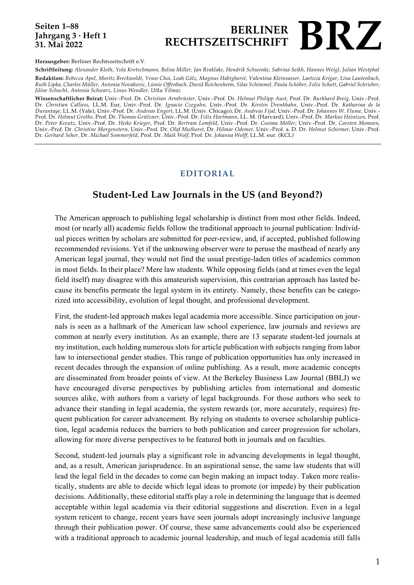### **Seiten 1–88 Jahrgang 3 · Heft 1 31. Mai 2022**

### **BERLINER<br>RECHTSZEITSCHRIFT RECHTSZEITSCHRIFT BRZ**

**Herausgeber:** Berliner Rechtszeitschrift e.V.

**Schriftleitung:** *Alexander Kloth, Yola Kretschmann, Belisa Miller, Jan Rinklake, Hendrik Schwenke, Sabrina Seikh, Hannes Weigl, Julian Westphal* **Redaktion:** *Rebecca Apel, Moritz Breckwoldt, Yeseo Choi, Leah Gölz, Magnus Habighorst, Valentina Kleinsasser, Laetizia Krigar, Lina Lautenbach, Ruth Lipka, Charles Müller, Antonia Novakovic, Lionie Offenbach, David Reichenheim, Silas Schimmel, Paula Schöber, Felix Schott, Gabriel Schrieber, Jiline Schucht, Antonia Schwarz, Linus Wendler, Utku Yilmaz*

**Wissenschaftlicher Beirat:** Univ.-Prof. Dr. *Christian Armbrüster,* Univ.-Prof. Dr. *Helmut Philipp Aust,* Prof. Dr. *Burkhard Breig,* Univ.-Prof. Dr. *Christian Calliess,* LL.M. Eur, Univ.-Prof. Dr. *Ignacio Czeguhn,* Univ.-Prof. Dr. *Kirstin Drenkhahn,* Univ.-Prof. Dr. *Katharina de la Durantaye,* LL.M. (Yale), Univ.-Prof. Dr. *Andreas Engert,* LL.M. (Univ. Chicago), Dr. *Andreas Fijal,* Univ.-Prof. Dr. *Johannes W. Flume,* Univ.- Prof. Dr. *Helmut Grothe,* Prof. Dr. *Thomas Grützner,* Univ.-Prof. Dr. *Felix Hartmann,* LL. M. (Harvard), Univ.-Prof. Dr. *Markus Heintzen,* Prof. Dr. *Peter Kreutz,* Univ.-Prof. Dr. *Heike Krieger,* Prof. Dr. *Bertram Lomfeld,* Univ.-Prof. Dr. *Cosima Möller,* Univ.-Prof. Dr. *Carsten Momsen,* Univ.-Prof. Dr. *Christine Morgenstern,* Univ.-Prof. Dr. *Olaf Muthorst,* Dr. *Hilmar Odemer,* Univ.-Prof. a. D. Dr. *Helmut Schirmer,* Univ.-Prof. Dr. *Gerhard Seher,* Dr. *Michael Sommerfeld,* Prof. Dr. *Maik Wolf,* Prof. Dr. *Johanna Wolff,* LL.M. eur. (KCL)

### **EDITORIAL**

### **Student-Led Law Journals in the US (and Beyond?)**

The American approach to publishing legal scholarship is distinct from most other fields. Indeed, most (or nearly all) academic fields follow the traditional approach to journal publication: Individual pieces written by scholars are submitted for peer-review, and, if accepted, published following recommended revisions. Yet if the unknowing observer were to peruse the masthead of nearly any American legal journal, they would not find the usual prestige-laden titles of academics common in most fields. In their place? Mere law students. While opposing fields (and at times even the legal field itself) may disagree with this amateurish supervision, this contrarian approach has lasted because its benefits permeate the legal system in its entirety. Namely, these benefits can be categorized into accessibility, evolution of legal thought, and professional development.

First, the student-led approach makes legal academia more accessible. Since participation on journals is seen as a hallmark of the American law school experience, law journals and reviews are common at nearly every institution. As an example, there are 13 separate student-led journals at my institution, each holding numerous slots for article publication with subjects ranging from labor law to intersectional gender studies. This range of publication opportunities has only increased in recent decades through the expansion of online publishing. As a result, more academic concepts are disseminated from broader points of view. At the Berkeley Business Law Journal (BBLJ) we have encouraged diverse perspectives by publishing articles from international and domestic sources alike, with authors from a variety of legal backgrounds. For those authors who seek to advance their standing in legal academia, the system rewards (or, more accurately, requires) frequent publication for career advancement. By relying on students to oversee scholarship publication, legal academia reduces the barriers to both publication and career progression for scholars, allowing for more diverse perspectives to be featured both in journals and on faculties.

Second, student-led journals play a significant role in advancing developments in legal thought, and, as a result, American jurisprudence. In an aspirational sense, the same law students that will lead the legal field in the decades to come can begin making an impact today. Taken more realistically, students are able to decide which legal ideas to promote (or impede) by their publication decisions. Additionally, these editorial staffs play a role in determining the language that is deemed acceptable within legal academia via their editorial suggestions and discretion. Even in a legal system reticent to change, recent years have seen journals adopt increasingly inclusive language through their publication power. Of course, these same advancements could also be experienced with a traditional approach to academic journal leadership, and much of legal academia still falls